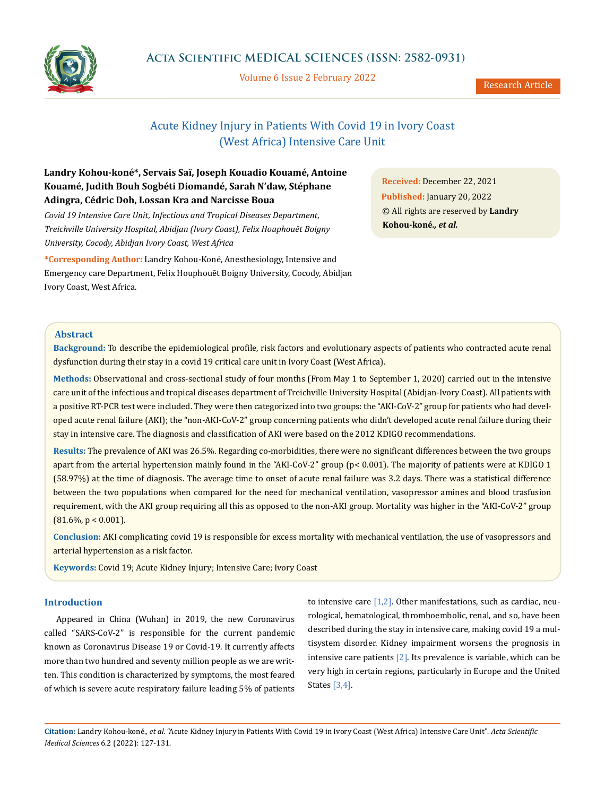

Volume 6 Issue 2 February 2022

Research Article

# Acute Kidney Injury in Patients With Covid 19 in Ivory Coast (West Africa) Intensive Care Unit

# **Landry Kohou-koné\*, Servais Saï, Joseph Kouadio Kouamé, Antoine Kouamé, Judith Bouh Sogbéti Diomandé, Sarah N'daw, Stéphane Adingra, Cédric Doh, Lossan Kra and Narcisse Boua**

*Covid 19 Intensive Care Unit, Infectious and Tropical Diseases Department, Treichville University Hospital, Abidjan (Ivory Coast), Felix Houphouēt Boigny University, Cocody, Abidjan Ivory Coast, West Africa*

**\*Corresponding Author:** Landry Kohou-Koné, Anesthesiology, Intensive and Emergency care Department, Felix Houphouēt Boigny University, Cocody, Abidjan Ivory Coast, West Africa.

**Received:** December 22, 2021 **Published:** January 20, 2022 © All rights are reserved by **Landry Kohou-koné***., et al.*

# **Abstract**

**Background:** To describe the epidemiological profile, risk factors and evolutionary aspects of patients who contracted acute renal dysfunction during their stay in a covid 19 critical care unit in Ivory Coast (West Africa).

**Methods:** Observational and cross-sectional study of four months (From May 1 to September 1, 2020) carried out in the intensive care unit of the infectious and tropical diseases department of Treichville University Hospital (Abidjan-Ivory Coast). All patients with a positive RT-PCR test were included. They were then categorized into two groups: the "AKI-CoV-2" group for patients who had developed acute renal failure (AKI); the "non-AKI-CoV-2" group concerning patients who didn't developed acute renal failure during their stay in intensive care. The diagnosis and classification of AKI were based on the 2012 KDIGO recommendations.

**Results:** The prevalence of AKI was 26.5%. Regarding co-morbidities, there were no significant differences between the two groups apart from the arterial hypertension mainly found in the "AKI-CoV-2" group (p< 0.001). The majority of patients were at KDIGO 1 (58.97%) at the time of diagnosis. The average time to onset of acute renal failure was 3.2 days. There was a statistical difference between the two populations when compared for the need for mechanical ventilation, vasopressor amines and blood trasfusion requirement, with the AKI group requiring all this as opposed to the non-AKI group. Mortality was higher in the "AKI-CoV-2" group  $(81.6\%, p < 0.001)$ .

**Conclusion:** AKI complicating covid 19 is responsible for excess mortality with mechanical ventilation, the use of vasopressors and arterial hypertension as a risk factor.

**Keywords:** Covid 19; Acute Kidney Injury; Intensive Care; Ivory Coast

# **Introduction**

Appeared in China (Wuhan) in 2019, the new Coronavirus called "SARS-CoV-2" is responsible for the current pandemic known as Coronavirus Disease 19 or Covid-19. It currently affects more than two hundred and seventy million people as we are written. This condition is characterized by symptoms, the most feared of which is severe acute respiratory failure leading 5% of patients to intensive care  $[1,2]$ . Other manifestations, such as cardiac, neurological, hematological, thromboembolic, renal, and so, have been described during the stay in intensive care, making covid 19 a multisystem disorder. Kidney impairment worsens the prognosis in intensive care patients [2]. Its prevalence is variable, which can be very high in certain regions, particularly in Europe and the United States [3,4].

**Citation:** Landry Kohou-koné*., et al.* "Acute Kidney Injury in Patients With Covid 19 in Ivory Coast (West Africa) Intensive Care Unit". *Acta Scientific Medical Sciences* 6.2 (2022): 127-131.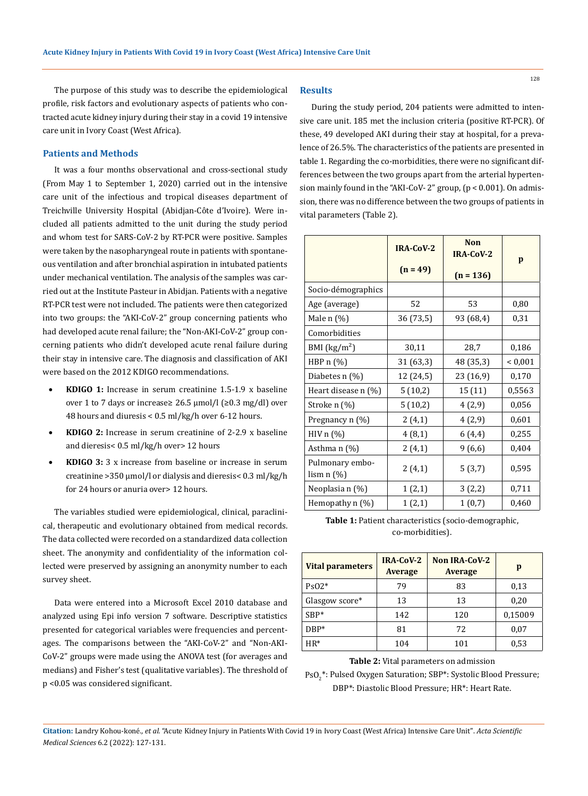The purpose of this study was to describe the epidemiological profile, risk factors and evolutionary aspects of patients who contracted acute kidney injury during their stay in a covid 19 intensive care unit in Ivory Coast (West Africa).

## **Patients and Methods**

It was a four months observational and cross-sectional study (From May 1 to September 1, 2020) carried out in the intensive care unit of the infectious and tropical diseases department of Treichville University Hospital (Abidjan-Côte d'Ivoire). Were included all patients admitted to the unit during the study period and whom test for SARS-CoV-2 by RT-PCR were positive. Samples were taken by the nasopharyngeal route in patients with spontaneous ventilation and after bronchial aspiration in intubated patients under mechanical ventilation. The analysis of the samples was carried out at the Institute Pasteur in Abidjan. Patients with a negative RT-PCR test were not included. The patients were then categorized into two groups: the "AKI-CoV-2" group concerning patients who had developed acute renal failure; the "Non-AKI-CoV-2" group concerning patients who didn't developed acute renal failure during their stay in intensive care. The diagnosis and classification of AKI were based on the 2012 KDIGO recommendations.

- **KDIGO 1:** Increase in serum creatinine 1.5-1.9 x baseline over 1 to 7 days or increase≥ 26.5 µmol/l (≥0.3 mg/dl) over 48 hours and diuresis < 0.5 ml/kg/h over 6-12 hours.
- **KDIGO 2:** Increase in serum creatinine of 2-2.9 x baseline and dieresis< 0.5 ml/kg/h over> 12 hours
- **KDIGO 3:** 3 x increase from baseline or increase in serum creatinine >350 µmol/l or dialysis and dieresis< 0.3 ml/kg/h for 24 hours or anuria over> 12 hours.

The variables studied were epidemiological, clinical, paraclinical, therapeutic and evolutionary obtained from medical records. The data collected were recorded on a standardized data collection sheet. The anonymity and confidentiality of the information collected were preserved by assigning an anonymity number to each survey sheet.

Data were entered into a Microsoft Excel 2010 database and analyzed using Epi info version 7 software. Descriptive statistics presented for categorical variables were frequencies and percentages. The comparisons between the "AKI-CoV-2" and "Non-AKI-CoV-2" groups were made using the ANOVA test (for averages and medians) and Fisher's test (qualitative variables). The threshold of p <0.05 was considered significant.

#### **Results**

During the study period, 204 patients were admitted to intensive care unit. 185 met the inclusion criteria (positive RT-PCR). Of these, 49 developed AKI during their stay at hospital, for a prevalence of 26.5%. The characteristics of the patients are presented in table 1. Regarding the co-morbidities, there were no significant differences between the two groups apart from the arterial hypertension mainly found in the "AKI-CoV- 2" group, (p < 0.001). On admission, there was no difference between the two groups of patients in vital parameters (Table 2).

|                                 | <b>IRA-CoV-2</b> | <b>Non</b><br><b>IRA-CoV-2</b> | p           |
|---------------------------------|------------------|--------------------------------|-------------|
|                                 | $(n = 49)$       | $(n = 136)$                    |             |
| Socio-démographics              |                  |                                |             |
| Age (average)                   | 52               | 53                             | 0,80        |
| Male n (%)                      | 36 (73,5)        | 93 (68,4)                      | 0,31        |
| Comorbidities                   |                  |                                |             |
| BMI $(kg/m2)$                   | 30,11            | 28,7                           | 0,186       |
| HBP $n$ $(\%)$                  | 31 (63,3)        | 48 (35,3)                      | ${}< 0,001$ |
| Diabetes n (%)                  | 12 (24,5)        | 23 (16,9)                      | 0,170       |
| Heart disease n (%)             | 5(10,2)          | 15 (11)                        | 0,5563      |
| Stroke n (%)                    | 5(10,2)          | 4(2,9)                         | 0,056       |
| Pregnancy n (%)                 | 2(4,1)           | 4(2,9)                         | 0,601       |
| HIVn(%)                         | 4(8,1)           | 6(4,4)                         | 0,255       |
| Asthman (%)                     | 2(4,1)           | 9(6,6)                         | 0,404       |
| Pulmonary embo-<br>$\lim n(\%)$ | 2(4,1)           | 5(3,7)                         | 0,595       |
| Neoplasia n (%)                 | 1(2,1)           | 3(2,2)                         | 0,711       |
| Hemopathy $n$ (%)               | 1(2,1)           | 1(0,7)                         | 0,460       |

| <b>Table 1:</b> Patient characteristics (socio-demographic, |
|-------------------------------------------------------------|
| co-morbidities).                                            |

| <b>Vital parameters</b> | <b>IRA-CoV-2</b><br><b>Average</b> | Non IRA-CoV-2<br><b>Average</b> | p       |
|-------------------------|------------------------------------|---------------------------------|---------|
| $PsO2*$                 | 79                                 | 83                              | 0,13    |
| Glasgow score*          | 13                                 | 13                              | 0,20    |
| $SRP*$                  | 142                                | 120                             | 0,15009 |
| $DBP*$                  | 81                                 | 72                              | 0,07    |
| $HR*$                   | 104                                | 101                             | 0,53    |

# **Table 2:** Vital parameters on admission

PsO $_2^*$ : Pulsed Oxygen Saturation; SBP\*: Systolic Blood Pressure; DBP\*: Diastolic Blood Pressure; HR\*: Heart Rate.

**Citation:** Landry Kohou-koné*., et al.* "Acute Kidney Injury in Patients With Covid 19 in Ivory Coast (West Africa) Intensive Care Unit". *Acta Scientific Medical Sciences* 6.2 (2022): 127-131.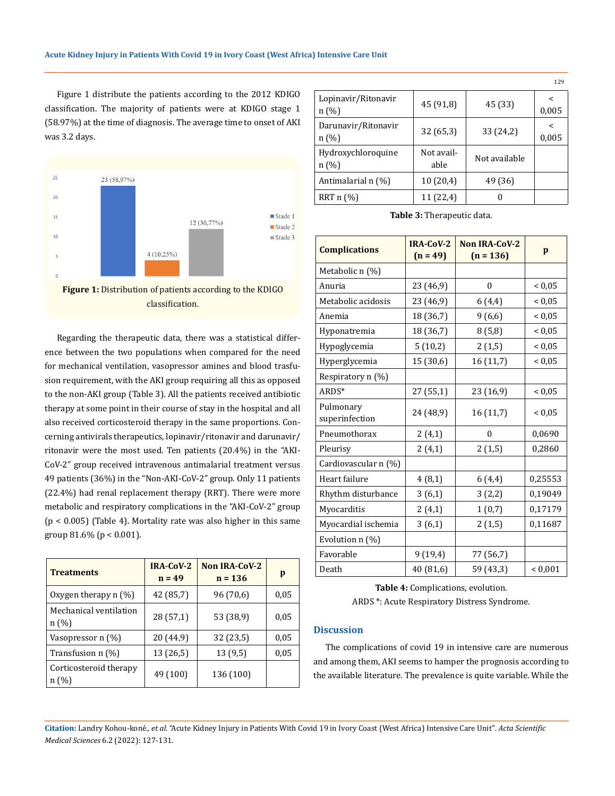Figure 1 distribute the patients according to the 2012 KDIGO classification. The majority of patients were at KDIGO stage 1 (58.97%) at the time of diagnosis. The average time to onset of AKI was 3.2 days.



Regarding the therapeutic data, there was a statistical difference between the two populations when compared for the need for mechanical ventilation, vasopressor amines and blood trasfusion requirement, with the AKI group requiring all this as opposed to the non-AKI group (Table 3). All the patients received antibiotic therapy at some point in their course of stay in the hospital and all also received corticosteroid therapy in the same proportions. Concerning antivirals therapeutics, lopinavir/ritonavir and darunavir/ ritonavir were the most used. Ten patients (20.4%) in the "AKI-CoV-2" group received intravenous antimalarial treatment versus 49 patients (36%) in the "Non-AKI-CoV-2" group. Only 11 patients (22.4%) had renal replacement therapy (RRT). There were more metabolic and respiratory complications in the "AKI-CoV-2" group (p < 0.005) (Table 4). Mortality rate was also higher in this same group 81.6% (p < 0.001).

| <b>Treatments</b>              | <b>IRA-CoV-2</b><br>$n = 49$ | Non IRA-CoV-2<br>$n = 136$ | p    |
|--------------------------------|------------------------------|----------------------------|------|
| Oxygen therapy $n$ (%)         | 42 (85,7)                    | 96 (70,6)                  | 0,05 |
| Mechanical ventilation<br>n(%) | 28(57,1)                     | 53 (38,9)                  | 0,05 |
| Vasopressor n (%)              | 20 (44,9)                    | 32 (23,5)                  | 0,05 |
| Transfusion $n$ (%)            | 13 (26,5)                    | 13(9,5)                    | 0,05 |
| Corticosteroid therapy<br>n(%) | 49 (100)                     | 136 (100)                  |      |

|                             |                    |               | 129        |
|-----------------------------|--------------------|---------------|------------|
| Lopinavir/Ritonavir<br>n(%) | 45 (91,8)          | 45 (33)       | <<br>0,005 |
| Darunavir/Ritonavir<br>n(%) | 32(65,3)           | 33 (24,2)     | <<br>0,005 |
| Hydroxychloroquine<br>n(%)  | Not avail-<br>able | Not available |            |
| Antimalarial n (%)          | 10(20,4)           | 49 (36)       |            |
| RRT n (%)                   | 11 (22,4)          | 0             |            |

**Table 3:** Therapeutic data.

| <b>Complications</b>        | IRA-CoV-2<br>$(n = 49)$ | Non IRA-CoV-2<br>$(n = 136)$ | p           |
|-----------------------------|-------------------------|------------------------------|-------------|
| Metabolic n (%)             |                         |                              |             |
| Anuria                      | 23 (46,9)               | $\theta$                     | < 0.05      |
| Metabolic acidosis          | 23 (46,9)               | 6(4,4)                       | ${}_{0.05}$ |
| Anemia                      | 18 (36,7)               | 9(6,6)                       | < 0.05      |
| Hyponatremia                | 18 (36,7)               | 8(5,8)                       | < 0.05      |
| Hypoglycemia                | 5(10,2)                 | 2(1,5)                       | < 0.05      |
| Hyperglycemia               | 15 (30,6)               | 16(11,7)                     | < 0.05      |
| Respiratory n (%)           |                         |                              |             |
| ARDS*                       | 27 (55,1)               | 23 (16,9)                    | < 0.05      |
| Pulmonary<br>superinfection | 24 (48,9)               | 16(11,7)                     | ${}_{0.05}$ |
| Pneumothorax                | 2(4,1)                  | $\mathbf{0}$                 | 0,0690      |
| Pleurisy                    | 2(4,1)                  | 2(1,5)                       | 0,2860      |
| Cardiovascular n (%)        |                         |                              |             |
| Heart failure               | 4(8,1)                  | 6(4,4)                       | 0,25553     |
| Rhythm disturbance          | 3(6,1)                  | 3(2,2)                       | 0,19049     |
| Myocarditis                 | 2(4,1)                  | 1(0,7)                       | 0,17179     |
| Myocardial ischemia         | 3(6,1)                  | 2(1,5)                       | 0,11687     |
| Evolution n (%)             |                         |                              |             |
| Favorable                   | 9(19,4)                 | 77 (56,7)                    |             |
| Death                       | 40 (81,6)               | 59 (43,3)                    | < 0,001     |

**Table 4:** Complications, evolution.

ARDS \*: Acute Respiratory Distress Syndrome.

# **Discussion**

The complications of covid 19 in intensive care are numerous and among them, AKI seems to hamper the prognosis according to the available literature. The prevalence is quite variable. While the

**Citation:** Landry Kohou-koné*., et al.* "Acute Kidney Injury in Patients With Covid 19 in Ivory Coast (West Africa) Intensive Care Unit". *Acta Scientific Medical Sciences* 6.2 (2022): 127-131.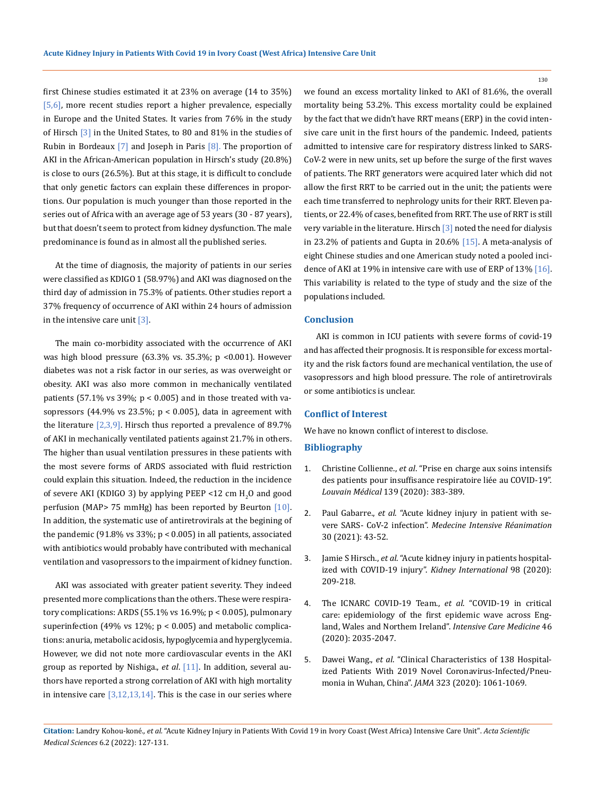first Chinese studies estimated it at 23% on average (14 to 35%) [5,6], more recent studies report a higher prevalence, especially in Europe and the United States. It varies from 76% in the study of Hirsch [3] in the United States, to 80 and 81% in the studies of Rubin in Bordeaux  $[7]$  and Joseph in Paris  $[8]$ . The proportion of AKI in the African-American population in Hirsch's study (20.8%) is close to ours (26.5%). But at this stage, it is difficult to conclude that only genetic factors can explain these differences in proportions. Our population is much younger than those reported in the series out of Africa with an average age of 53 years (30 - 87 years), but that doesn't seem to protect from kidney dysfunction. The male predominance is found as in almost all the published series.

At the time of diagnosis, the majority of patients in our series were classified as KDIGO 1 (58.97%) and AKI was diagnosed on the third day of admission in 75.3% of patients. Other studies report a 37% frequency of occurrence of AKI within 24 hours of admission in the intensive care unit [3].

The main co-morbidity associated with the occurrence of AKI was high blood pressure (63.3% vs. 35.3%; p <0.001). However diabetes was not a risk factor in our series, as was overweight or obesity. AKI was also more common in mechanically ventilated patients (57.1% vs 39%;  $p < 0.005$ ) and in those treated with vasopressors (44.9% vs 23.5%;  $p < 0.005$ ), data in agreement with the literature  $[2,3,9]$ . Hirsch thus reported a prevalence of 89.7% of AKI in mechanically ventilated patients against 21.7% in others. The higher than usual ventilation pressures in these patients with the most severe forms of ARDS associated with fluid restriction could explain this situation. Indeed, the reduction in the incidence of severe AKI (KDIGO 3) by applying PEEP  $\leq$ 12 cm  $\text{H}_{2}$ O and good perfusion (MAP> 75 mmHg) has been reported by Beurton [10]. In addition, the systematic use of antiretrovirals at the begining of the pandemic (91.8% vs 33%; p < 0.005) in all patients, associated with antibiotics would probably have contributed with mechanical ventilation and vasopressors to the impairment of kidney function.

AKI was associated with greater patient severity. They indeed presented more complications than the others. These were respiratory complications: ARDS (55.1% vs 16.9%; p < 0.005), pulmonary superinfection (49% vs  $12\%$ ;  $p < 0.005$ ) and metabolic complications: anuria, metabolic acidosis, hypoglycemia and hyperglycemia. However, we did not note more cardiovascular events in the AKI group as reported by Nishiga., *et al*. [11]. In addition, several authors have reported a strong correlation of AKI with high mortality in intensive care  $[3,12,13,14]$ . This is the case in our series where

we found an excess mortality linked to AKI of 81.6%, the overall mortality being 53.2%. This excess mortality could be explained by the fact that we didn't have RRT means (ERP) in the covid intensive care unit in the first hours of the pandemic. Indeed, patients admitted to intensive care for respiratory distress linked to SARS-CoV-2 were in new units, set up before the surge of the first waves of patients. The RRT generators were acquired later which did not allow the first RRT to be carried out in the unit; the patients were each time transferred to nephrology units for their RRT. Eleven patients, or 22.4% of cases, benefited from RRT. The use of RRT is still very variable in the literature. Hirsch [3] noted the need for dialysis in 23.2% of patients and Gupta in 20.6% [15]. A meta-analysis of eight Chinese studies and one American study noted a pooled incidence of AKI at 19% in intensive care with use of ERP of 13% [16]. This variability is related to the type of study and the size of the populations included.

#### **Conclusion**

AKI is common in ICU patients with severe forms of covid-19 and has affected their prognosis. It is responsible for excess mortality and the risk factors found are mechanical ventilation, the use of vasopressors and high blood pressure. The role of antiretrovirals or some antibiotics is unclear.

#### **Conflict of Interest**

We have no known conflict of interest to disclose.

#### **Bibliography**

- 1. Christine Collienne., *et al*[. "Prise en charge aux soins intensifs](https://www.louvainmedical.be/fr/article/prise-en-charge-aux-soins-intensifs-des-patients-pour-insuffisance-respiratoire-liee-au) [des patients pour insuffisance respiratoire liée au COVID-19".](https://www.louvainmedical.be/fr/article/prise-en-charge-aux-soins-intensifs-des-patients-pour-insuffisance-respiratoire-liee-au) *Louvain Médical* [139 \(2020\): 383-389.](https://www.louvainmedical.be/fr/article/prise-en-charge-aux-soins-intensifs-des-patients-pour-insuffisance-respiratoire-liee-au)
- 2. Paul Gabarre., *et al*[. "Acute kidney injury in patient with se](https://annalsofintensivecare.springeropen.com/articles/10.1186/s13613-020-00734-z)vere SARS- CoV-2 infection". *[Medecine Intensive Réanimation](https://annalsofintensivecare.springeropen.com/articles/10.1186/s13613-020-00734-z)*  [30 \(2021\): 43-52.](https://annalsofintensivecare.springeropen.com/articles/10.1186/s13613-020-00734-z)
- 3. Jamie S Hirsch., *et al*[. "Acute kidney injury in patients hospital](https://www.ncbi.nlm.nih.gov/pmc/articles/PMC7229463/)[ized with COVID-19 injury".](https://www.ncbi.nlm.nih.gov/pmc/articles/PMC7229463/) *Kidney International* 98 (2020): [209-218.](https://www.ncbi.nlm.nih.gov/pmc/articles/PMC7229463/)
- 4. [The ICNARC COVID-19 Team.,](https://link.springer.com/article/10.1007/s00134-020-06267-0) *et al*. "COVID-19 in critical [care: epidemiology of the first epidemic wave across Eng](https://link.springer.com/article/10.1007/s00134-020-06267-0)land, Wales and Northem Ireland". *Intensive Care Medicine* 46 [\(2020\): 2035-2047.](https://link.springer.com/article/10.1007/s00134-020-06267-0)
- 5. Dawei Wang., *et al*[. "Clinical Characteristics of 138 Hospital](https://pubmed.ncbi.nlm.nih.gov/32031570/)[ized Patients With 2019 Novel Coronavirus-Infected/Pneu](https://pubmed.ncbi.nlm.nih.gov/32031570/)[monia in Wuhan, China".](https://pubmed.ncbi.nlm.nih.gov/32031570/) *JAMA* 323 (2020): 1061-1069.

130

**Citation:** Landry Kohou-koné*., et al.* "Acute Kidney Injury in Patients With Covid 19 in Ivory Coast (West Africa) Intensive Care Unit". *Acta Scientific Medical Sciences* 6.2 (2022): 127-131.